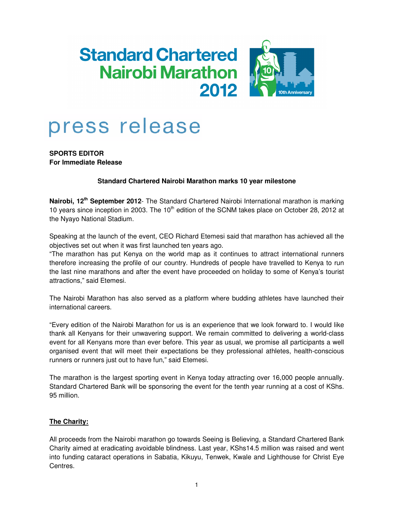## **Standard Chartered Nairobi Marathon** 2012



# press release

**SPORTS EDITOR For Immediate Release** 

## **Standard Chartered Nairobi Marathon marks 10 year milestone**

**Nairobi, 12th September 2012**- The Standard Chartered Nairobi International marathon is marking 10 years since inception in 2003. The 10<sup>th</sup> edition of the SCNM takes place on October 28, 2012 at the Nyayo National Stadium.

Speaking at the launch of the event, CEO Richard Etemesi said that marathon has achieved all the objectives set out when it was first launched ten years ago.

"The marathon has put Kenya on the world map as it continues to attract international runners therefore increasing the profile of our country. Hundreds of people have travelled to Kenya to run the last nine marathons and after the event have proceeded on holiday to some of Kenya's tourist attractions," said Etemesi.

The Nairobi Marathon has also served as a platform where budding athletes have launched their international careers.

"Every edition of the Nairobi Marathon for us is an experience that we look forward to. I would like thank all Kenyans for their unwavering support. We remain committed to delivering a world-class event for all Kenyans more than ever before. This year as usual, we promise all participants a well organised event that will meet their expectations be they professional athletes, health-conscious runners or runners just out to have fun," said Etemesi.

The marathon is the largest sporting event in Kenya today attracting over 16,000 people annually. Standard Chartered Bank will be sponsoring the event for the tenth year running at a cost of KShs. 95 million.

## **The Charity:**

All proceeds from the Nairobi marathon go towards Seeing is Believing, a Standard Chartered Bank Charity aimed at eradicating avoidable blindness. Last year, KShs14.5 million was raised and went into funding cataract operations in Sabatia, Kikuyu, Tenwek, Kwale and Lighthouse for Christ Eye Centres.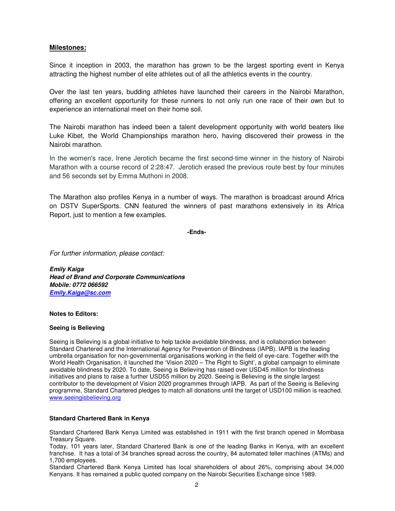## **Milestones:**

Since it inception in 2003, the marathon has grown to be the largest sporting event in Kenya attracting the highest number of elite athletes out of all the athletics events in the country.

Over the last ten years, budding athletes have launched their careers in the Nairobi Marathon, offering an excellent opportunity for these runners to not only run one race of their own but to experience an international meet on their home soil.

The Nairobi marathon has indeed been a talent development opportunity with world beaters like Luke Kibet, the World Championships marathon hero, having discovered their prowess in the Nairobi marathon.

In the women's race, Irene Jerotich became the first second-time winner in the history of Nairobi Marathon with a course record of 2:28:47. Jerotich erased the previous route best by four minutes and 56 seconds set by Emma Muthoni in 2008.

The Marathon also profiles Kenya in a number of ways. The marathon is broadcast around Africa on DSTV SuperSports. CNN featured the winners of past marathons extensively in its Africa Report, just to mention a few examples.

#### **-Ends-**

For further information, please contact:

**Emily Kaiga Head of Brand and Corporate Communications Mobile: 0772 066592 Emily.Kaiga@sc.com**

### **Notes to Editors:**

#### **Seeing is Believing**

Seeing is Believing is a global initiative to help tackle avoidable blindness, and is collaboration between Standard Chartered and the International Agency for Prevention of Blindness (IAPB). IAPB is the leading umbrella organisation for non-governmental organisations working in the field of eye-care. Together with the World Health Organisation, it launched the 'Vision 2020 – The Right to Sight', a global campaign to eliminate avoidable blindness by 2020. To date, Seeing is Believing has raised over USD45 million for blindness initiatives and plans to raise a further USD55 million by 2020. Seeing is Believing is the single largest contributor to the development of Vision 2020 programmes through IAPB. As part of the Seeing is Believing programme, Standard Chartered pledges to match all donations until the target of USD100 million is reached. www.seeingisbelieving.org

#### **Standard Chartered Bank in Kenya**

Standard Chartered Bank Kenya Limited was established in 1911 with the first branch opened in Mombasa Treasury Square.

Today, 101 years later, Standard Chartered Bank is one of the leading Banks in Kenya, with an excellent franchise. It has a total of 34 branches spread across the country, 84 automated teller machines (ATMs) and 1,700 employees.

Standard Chartered Bank Kenya Limited has local shareholders of about 26%, comprising about 34,000 Kenyans. It has remained a public quoted company on the Nairobi Securities Exchange since 1989.